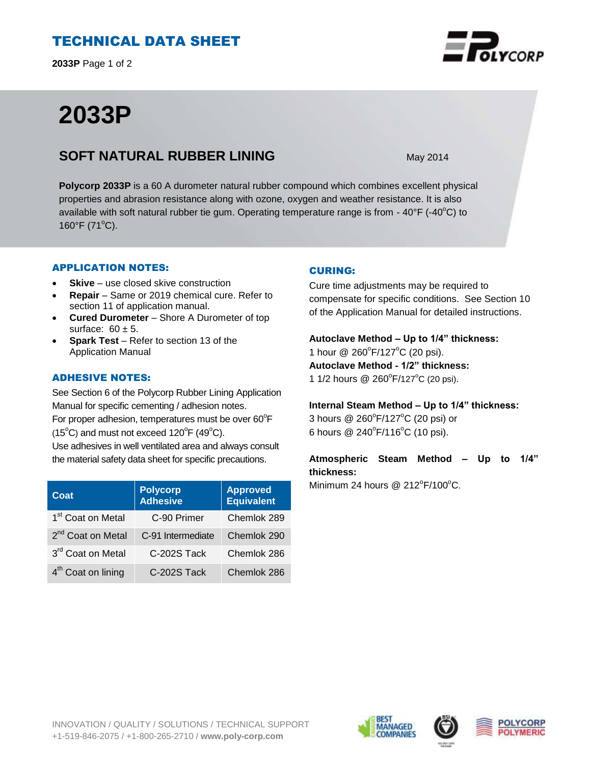# TECHNICAL DATA SHEET

**2033P** Page 1 of 2

# **2033P**

### **SOFT NATURAL RUBBER LINING** May 2014

**Polycorp 2033P** is a 60 A durometer natural rubber compound which combines excellent physical properties and abrasion resistance along with ozone, oxygen and weather resistance. It is also available with soft natural rubber tie gum. Operating temperature range is from -  $40^{\circ}$ F (- $40^{\circ}$ C) to 160 $\degree$ F (71 $\degree$ C).

### APPLICATION NOTES:

- **Skive** use closed skive construction
- **Repair**  Same or 2019 chemical cure. Refer to section 11 of application manual.
- **Cured Durometer**  Shore A Durometer of top surface:  $60 \pm 5$ .
- **Spark Test**  Refer to section 13 of the Application Manual

### ADHESIVE NOTES:

See Section 6 of the Polycorp Rubber Lining Application Manual for specific cementing / adhesion notes. For proper adhesion, temperatures must be over  $60^{\circ}$ F  $(15^{\circ}C)$  and must not exceed  $120^{\circ}F(49^{\circ}C)$ . Use adhesives in well ventilated area and always consult the material safety data sheet for specific precautions.

| Coat                           | <b>Polycorp</b><br><b>Adhesive</b> | <b>Approved</b><br><b>Equivalent</b> |
|--------------------------------|------------------------------------|--------------------------------------|
| 1 <sup>st</sup> Coat on Metal  | C-90 Primer                        | Chemlok 289                          |
| 2 <sup>nd</sup> Coat on Metal  | C-91 Intermediate                  | Chemlok 290                          |
| 3rd Coat on Metal              | C-202S Tack                        | Chemlok 286                          |
| 4 <sup>th</sup> Coat on lining | C-202S Tack                        | Chemlok 286                          |

### CURING:

Cure time adjustments may be required to compensate for specific conditions. See Section 10 of the Application Manual for detailed instructions.

# **Autoclave Method – Up to 1/4" thickness:**

1 hour @ 260°F/127°C (20 psi). **Autoclave Method - 1/2" thickness:**  1 1/2 hours @  $260^{\circ}$ F/127°C (20 psi).

### **Internal Steam Method – Up to 1/4" thickness:**

3 hours @ 260°F/127°C (20 psi) or 6 hours  $@ 240^{\circ}F/116^{\circ}C$  (10 psi).

### **Atmospheric Steam Method – Up to 1/4" thickness:**

Minimum 24 hours @  $212^{\circ}F/100^{\circ}C$ .